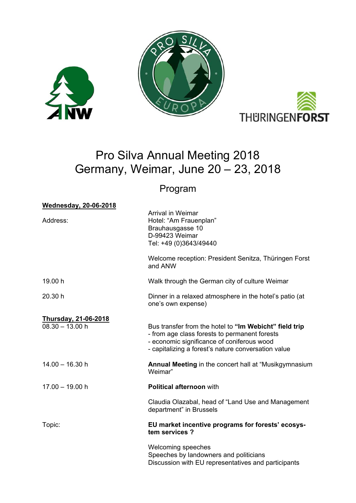





# Pro Silva Annual Meeting 2018 Germany, Weimar, June 20 – 23, 2018

# Program

| <b>Wednesday, 20-06-2018</b>                     |                                                                                                                                                                                                              |
|--------------------------------------------------|--------------------------------------------------------------------------------------------------------------------------------------------------------------------------------------------------------------|
| Address:                                         | <b>Arrival in Weimar</b><br>Hotel: "Am Frauenplan"<br>Brauhausgasse 10<br>D-99423 Weimar<br>Tel: +49 (0)3643/49440                                                                                           |
|                                                  | Welcome reception: President Senitza, Thüringen Forst<br>and ANW                                                                                                                                             |
| 19.00 h                                          | Walk through the German city of culture Weimar                                                                                                                                                               |
| 20.30 h                                          | Dinner in a relaxed atmosphere in the hotel's patio (at<br>one's own expense)                                                                                                                                |
| <b>Thursday, 21-06-2018</b><br>$08.30 - 13.00$ h | Bus transfer from the hotel to "Im Webicht" field trip<br>- from age class forests to permanent forests<br>- economic significance of coniferous wood<br>- capitalizing a forest's nature conversation value |
| $14.00 - 16.30$ h                                | <b>Annual Meeting</b> in the concert hall at "Musikgymnasium<br>Weimar"                                                                                                                                      |
| $17.00 - 19.00 h$                                | <b>Political afternoon with</b>                                                                                                                                                                              |
|                                                  | Claudia Olazabal, head of "Land Use and Management<br>department" in Brussels                                                                                                                                |
| Topic:                                           | EU market incentive programs for forests' ecosys-<br>tem services ?                                                                                                                                          |
|                                                  | Welcoming speeches<br>Speeches by landowners and politicians<br>Discussion with EU representatives and participants                                                                                          |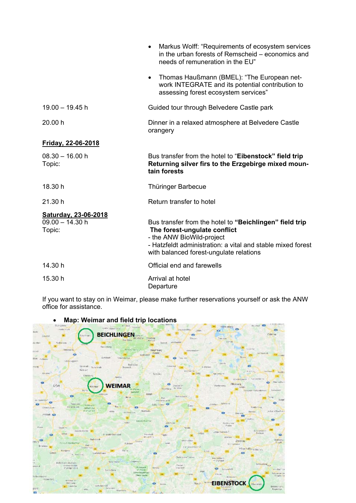|                                                     | Markus Wolff: "Requirements of ecosystem services<br>$\bullet$<br>in the urban forests of Remscheid - economics and<br>needs of remuneration in the EU"                                                                        |
|-----------------------------------------------------|--------------------------------------------------------------------------------------------------------------------------------------------------------------------------------------------------------------------------------|
|                                                     | Thomas Haußmann (BMEL): "The European net-<br>$\bullet$<br>work INTEGRATE and its potential contribution to<br>assessing forest ecosystem services"                                                                            |
| $19.00 - 19.45$ h                                   | Guided tour through Belvedere Castle park                                                                                                                                                                                      |
| 20.00 h                                             | Dinner in a relaxed atmosphere at Belvedere Castle<br>orangery                                                                                                                                                                 |
| Friday, 22-06-2018                                  |                                                                                                                                                                                                                                |
| $08.30 - 16.00 h$<br>Topic:                         | Bus transfer from the hotel to "Eibenstock" field trip<br>Returning silver firs to the Erzgebirge mixed moun-<br>tain forests                                                                                                  |
| 18.30 h                                             | Thüringer Barbecue                                                                                                                                                                                                             |
| 21.30 h                                             | Return transfer to hotel                                                                                                                                                                                                       |
| Saturday, 23-06-2018<br>$09.00 - 14.30 h$<br>Topic: | Bus transfer from the hotel to "Beichlingen" field trip<br>The forest-ungulate conflict<br>- the ANW BioWild-project<br>- Hatzfeldt administration: a vital and stable mixed forest<br>with balanced forest-ungulate relations |
| 14.30 h                                             | Official end and farewells                                                                                                                                                                                                     |
| 15.30 h                                             | Arrival at hotel<br>Departure                                                                                                                                                                                                  |

If you want to stay on in Weimar, please make further reservations yourself or ask the ANW office for assistance.



# **Map: Weimar and field trip locations**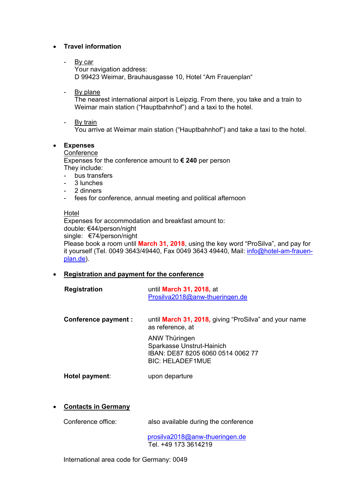## **Travel information**

- By car Your navigation address: D 99423 Weimar, Brauhausgasse 10, Hotel "Am Frauenplan"
- By plane

The nearest international airport is Leipzig. From there, you take and a train to Weimar main station ("Hauptbahnhof") and a taxi to the hotel.

- By train

You arrive at Weimar main station ("Hauptbahnhof") and take a taxi to the hotel.

#### **Expenses**

## **Conference**

Expenses for the conference amount to **€ 240** per person They include:

- bus transfers
- 3 lunches
- 2 dinners
- fees for conference, annual meeting and political afternoon

#### Hotel

Expenses for accommodation and breakfast amount to: double: €44/person/night single: €74/person/night Please book a room until **March 31, 2018**, using the key word "ProSilva", and pay for it yourself (Tel. 0049 3643/49440, Fax 0049 3643 49440, Mail: *info@hotel-am-frauen*plan.de).

#### **Registration and payment for the conference**

| <b>Registration</b> | until <b>March 31, 2018</b> , at |
|---------------------|----------------------------------|
|                     | Prosilva2018@anw-thueringen.de   |

| Conference payment : | until March 31, 2018, giving "ProSilva" and your name<br>as reference, at                                  |
|----------------------|------------------------------------------------------------------------------------------------------------|
|                      | ANW Thüringen<br>Sparkasse Unstrut-Hainich<br>IBAN: DE87 8205 6060 0514 0062 77<br><b>BIC: HELADEF1MUE</b> |

**Hotel payment**: upon departure

#### **Contacts in Germany**

Conference office: also available during the conference

 prosilva2018@anw-thueringen.de Tel. +49 173 3614219

International area code for Germany: 0049